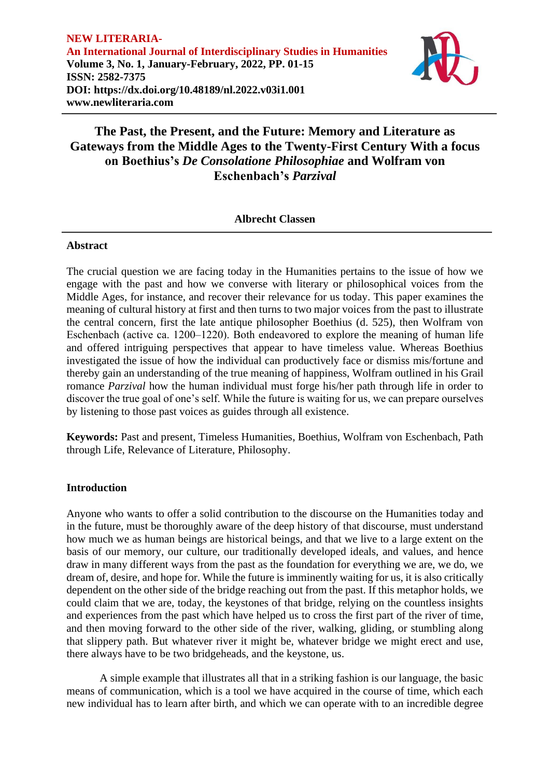

### **Albrecht Classen**

### **Abstract**

The crucial question we are facing today in the Humanities pertains to the issue of how we engage with the past and how we converse with literary or philosophical voices from the Middle Ages, for instance, and recover their relevance for us today. This paper examines the meaning of cultural history at first and then turns to two major voices from the past to illustrate the central concern, first the late antique philosopher Boethius (d. 525), then Wolfram von Eschenbach (active ca. 1200–1220). Both endeavored to explore the meaning of human life and offered intriguing perspectives that appear to have timeless value. Whereas Boethius investigated the issue of how the individual can productively face or dismiss mis/fortune and thereby gain an understanding of the true meaning of happiness, Wolfram outlined in his Grail romance *Parzival* how the human individual must forge his/her path through life in order to discover the true goal of one's self. While the future is waiting for us, we can prepare ourselves by listening to those past voices as guides through all existence.

**Keywords:** Past and present, Timeless Humanities, Boethius, Wolfram von Eschenbach, Path through Life, Relevance of Literature, Philosophy.

## **Introduction**

Anyone who wants to offer a solid contribution to the discourse on the Humanities today and in the future, must be thoroughly aware of the deep history of that discourse, must understand how much we as human beings are historical beings, and that we live to a large extent on the basis of our memory, our culture, our traditionally developed ideals, and values, and hence draw in many different ways from the past as the foundation for everything we are, we do, we dream of, desire, and hope for. While the future is imminently waiting for us, it is also critically dependent on the other side of the bridge reaching out from the past. If this metaphor holds, we could claim that we are, today, the keystones of that bridge, relying on the countless insights and experiences from the past which have helped us to cross the first part of the river of time, and then moving forward to the other side of the river, walking, gliding, or stumbling along that slippery path. But whatever river it might be, whatever bridge we might erect and use, there always have to be two bridgeheads, and the keystone, us.

A simple example that illustrates all that in a striking fashion is our language, the basic means of communication, which is a tool we have acquired in the course of time, which each new individual has to learn after birth, and which we can operate with to an incredible degree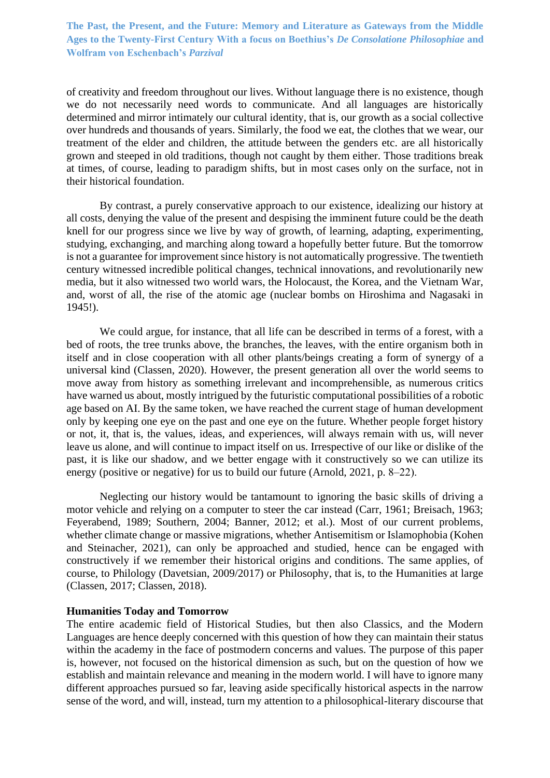of creativity and freedom throughout our lives. Without language there is no existence, though we do not necessarily need words to communicate. And all languages are historically determined and mirror intimately our cultural identity, that is, our growth as a social collective over hundreds and thousands of years. Similarly, the food we eat, the clothes that we wear, our treatment of the elder and children, the attitude between the genders etc. are all historically grown and steeped in old traditions, though not caught by them either. Those traditions break at times, of course, leading to paradigm shifts, but in most cases only on the surface, not in their historical foundation.

By contrast, a purely conservative approach to our existence, idealizing our history at all costs, denying the value of the present and despising the imminent future could be the death knell for our progress since we live by way of growth, of learning, adapting, experimenting, studying, exchanging, and marching along toward a hopefully better future. But the tomorrow is not a guarantee for improvement since history is not automatically progressive. The twentieth century witnessed incredible political changes, technical innovations, and revolutionarily new media, but it also witnessed two world wars, the Holocaust, the Korea, and the Vietnam War, and, worst of all, the rise of the atomic age (nuclear bombs on Hiroshima and Nagasaki in 1945!).

We could argue, for instance, that all life can be described in terms of a forest, with a bed of roots, the tree trunks above, the branches, the leaves, with the entire organism both in itself and in close cooperation with all other plants/beings creating a form of synergy of a universal kind (Classen, 2020). However, the present generation all over the world seems to move away from history as something irrelevant and incomprehensible, as numerous critics have warned us about, mostly intrigued by the futuristic computational possibilities of a robotic age based on AI. By the same token, we have reached the current stage of human development only by keeping one eye on the past and one eye on the future. Whether people forget history or not, it, that is, the values, ideas, and experiences, will always remain with us, will never leave us alone, and will continue to impact itself on us. Irrespective of our like or dislike of the past, it is like our shadow, and we better engage with it constructively so we can utilize its energy (positive or negative) for us to build our future (Arnold, 2021, p. 8–22).

Neglecting our history would be tantamount to ignoring the basic skills of driving a motor vehicle and relying on a computer to steer the car instead (Carr, 1961; Breisach, 1963; Feyerabend, 1989; Southern, 2004; Banner, 2012; et al.). Most of our current problems, whether climate change or massive migrations, whether Antisemitism or Islamophobia (Kohen and Steinacher, 2021), can only be approached and studied, hence can be engaged with constructively if we remember their historical origins and conditions. The same applies, of course, to Philology (Davetsian, 2009/2017) or Philosophy, that is, to the Humanities at large (Classen, 2017; Classen, 2018).

#### **Humanities Today and Tomorrow**

The entire academic field of Historical Studies, but then also Classics, and the Modern Languages are hence deeply concerned with this question of how they can maintain their status within the academy in the face of postmodern concerns and values. The purpose of this paper is, however, not focused on the historical dimension as such, but on the question of how we establish and maintain relevance and meaning in the modern world. I will have to ignore many different approaches pursued so far, leaving aside specifically historical aspects in the narrow sense of the word, and will, instead, turn my attention to a philosophical-literary discourse that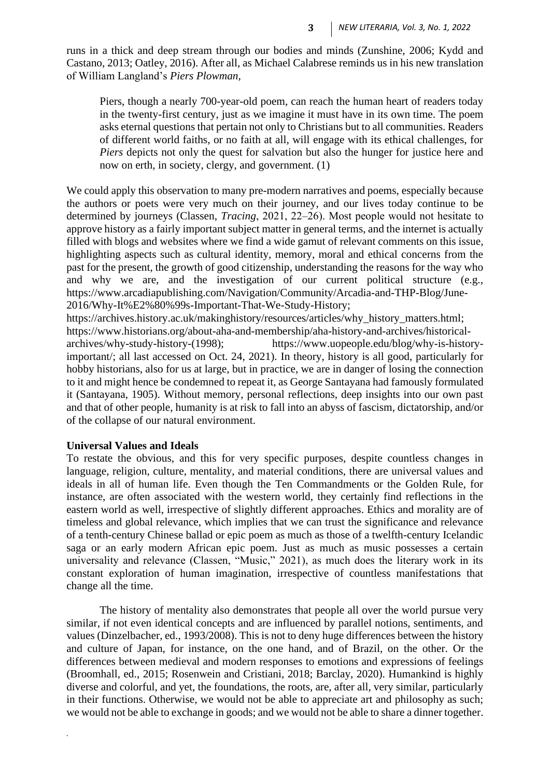runs in a thick and deep stream through our bodies and minds (Zunshine, 2006; Kydd and Castano, 2013; Oatley, 2016). After all, as Michael Calabrese reminds us in his new translation of William Langland's *Piers Plowman*,

Piers, though a nearly 700-year-old poem, can reach the human heart of readers today in the twenty-first century, just as we imagine it must have in its own time. The poem asks eternal questions that pertain not only to Christians but to all communities. Readers of different world faiths, or no faith at all, will engage with its ethical challenges, for *Piers* depicts not only the quest for salvation but also the hunger for justice here and now on erth, in society, clergy, and government. (1)

We could apply this observation to many pre-modern narratives and poems, especially because the authors or poets were very much on their journey, and our lives today continue to be determined by journeys (Classen, *Tracing*, 2021, 22–26). Most people would not hesitate to approve history as a fairly important subject matter in general terms, and the internet is actually filled with blogs and websites where we find a wide gamut of relevant comments on this issue, highlighting aspects such as cultural identity, memory, moral and ethical concerns from the past for the present, the growth of good citizenship, understanding the reasons for the way who and why we are, and the investigation of our current political structure (e.g., [https://www.arcadiapublishing.com/Navigation/Community/Arcadia-and-THP-Blog/June-](https://www.arcadiapublishing.com/Navigation/Community/Arcadia-and-THP-Blog/June-2016/Why-It%E2%80%99s-Important-That-We-Study-History)[2016/Why-It%E2%80%99s-Important-That-We-Study-History;](https://www.arcadiapublishing.com/Navigation/Community/Arcadia-and-THP-Blog/June-2016/Why-It%E2%80%99s-Important-That-We-Study-History)

[https://archives.history.ac.uk/makinghistory/resources/articles/why\\_history\\_matters.html;](https://archives.history.ac.uk/makinghistory/resources/articles/why_history_matters.html) [https://www.historians.org/about-aha-and-membership/aha-history-and-archives/historical](https://www.historians.org/about-aha-and-membership/aha-history-and-archives/historical-archives/why-study-history-(1998))[archives/why-study-history-\(1998\);](https://www.historians.org/about-aha-and-membership/aha-history-and-archives/historical-archives/why-study-history-(1998)) https://www.uopeople.edu/blog/why-is-historyimportant/; all last accessed on Oct. 24, 2021). In theory, history is all good, particularly for hobby historians, also for us at large, but in practice, we are in danger of losing the connection to it and might hence be condemned to repeat it, as George Santayana had famously formulated it (Santayana, 1905). Without memory, personal reflections, deep insights into our own past and that of other people, humanity is at risk to fall into an abyss of fascism, dictatorship, and/or of the collapse of our natural environment.

### **Universal Values and Ideals**

*.*

To restate the obvious, and this for very specific purposes, despite countless changes in language, religion, culture, mentality, and material conditions, there are universal values and ideals in all of human life. Even though the Ten Commandments or the Golden Rule, for instance, are often associated with the western world, they certainly find reflections in the eastern world as well, irrespective of slightly different approaches. Ethics and morality are of timeless and global relevance, which implies that we can trust the significance and relevance of a tenth-century Chinese ballad or epic poem as much as those of a twelfth-century Icelandic saga or an early modern African epic poem. Just as much as music possesses a certain universality and relevance (Classen, "Music," 2021), as much does the literary work in its constant exploration of human imagination, irrespective of countless manifestations that change all the time.

The history of mentality also demonstrates that people all over the world pursue very similar, if not even identical concepts and are influenced by parallel notions, sentiments, and values (Dinzelbacher, ed., 1993/2008). This is not to deny huge differences between the history and culture of Japan, for instance, on the one hand, and of Brazil, on the other. Or the differences between medieval and modern responses to emotions and expressions of feelings (Broomhall, ed., 2015; Rosenwein and Cristiani, 2018; Barclay, 2020). Humankind is highly diverse and colorful, and yet, the foundations, the roots, are, after all, very similar, particularly in their functions. Otherwise, we would not be able to appreciate art and philosophy as such; we would not be able to exchange in goods; and we would not be able to share a dinner together.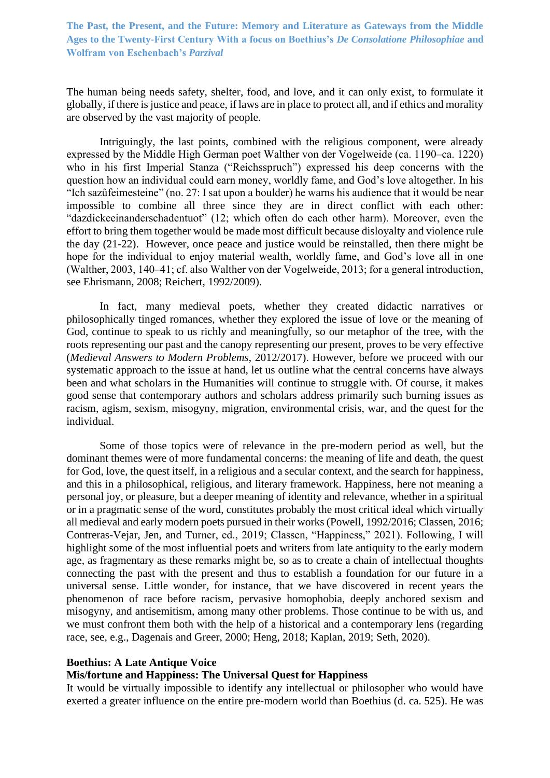The human being needs safety, shelter, food, and love, and it can only exist, to formulate it globally, if there is justice and peace, if laws are in place to protect all, and if ethics and morality are observed by the vast majority of people.

Intriguingly, the last points, combined with the religious component, were already expressed by the Middle High German poet Walther von der Vogelweide (ca. 1190–ca. 1220) who in his first Imperial Stanza ("Reichsspruch") expressed his deep concerns with the question how an individual could earn money, worldly fame, and God's love altogether. In his "Ich sazûfeimesteine" (no. 27: I sat upon a boulder) he warns his audience that it would be near impossible to combine all three since they are in direct conflict with each other: "dazdickeeinanderschadentuot" (12; which often do each other harm). Moreover, even the effort to bring them together would be made most difficult because disloyalty and violence rule the day (21-22). However, once peace and justice would be reinstalled, then there might be hope for the individual to enjoy material wealth, worldly fame, and God's love all in one (Walther, 2003, 140‒41; cf. also Walther von der Vogelweide, 2013; for a general introduction, see Ehrismann, 2008; Reichert, 1992/2009).

In fact, many medieval poets, whether they created didactic narratives or philosophically tinged romances, whether they explored the issue of love or the meaning of God, continue to speak to us richly and meaningfully, so our metaphor of the tree, with the roots representing our past and the canopy representing our present, proves to be very effective (*Medieval Answers to Modern Problems*, 2012/2017). However, before we proceed with our systematic approach to the issue at hand, let us outline what the central concerns have always been and what scholars in the Humanities will continue to struggle with. Of course, it makes good sense that contemporary authors and scholars address primarily such burning issues as racism, agism, sexism, misogyny, migration, environmental crisis, war, and the quest for the individual.

Some of those topics were of relevance in the pre-modern period as well, but the dominant themes were of more fundamental concerns: the meaning of life and death, the quest for God, love, the quest itself, in a religious and a secular context, and the search for happiness, and this in a philosophical, religious, and literary framework. Happiness, here not meaning a personal joy, or pleasure, but a deeper meaning of identity and relevance, whether in a spiritual or in a pragmatic sense of the word, constitutes probably the most critical ideal which virtually all medieval and early modern poets pursued in their works (Powell, 1992/2016; Classen, 2016; Contreras-Vejar, Jen, and Turner, ed., 2019; Classen, "Happiness," 2021). Following, I will highlight some of the most influential poets and writers from late antiquity to the early modern age, as fragmentary as these remarks might be, so as to create a chain of intellectual thoughts connecting the past with the present and thus to establish a foundation for our future in a universal sense. Little wonder, for instance, that we have discovered in recent years the phenomenon of race before racism, pervasive homophobia, deeply anchored sexism and misogyny, and antisemitism, among many other problems. Those continue to be with us, and we must confront them both with the help of a historical and a contemporary lens (regarding race, see, e.g., Dagenais and Greer, 2000; Heng, 2018; Kaplan, 2019; Seth, 2020).

### **Boethius: A Late Antique Voice**

### **Mis/fortune and Happiness: The Universal Quest for Happiness**

It would be virtually impossible to identify any intellectual or philosopher who would have exerted a greater influence on the entire pre-modern world than Boethius (d. ca. 525). He was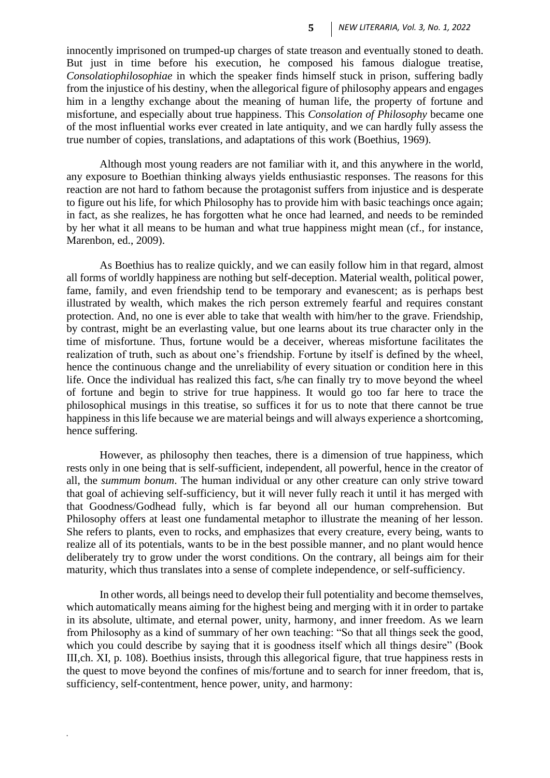innocently imprisoned on trumped-up charges of state treason and eventually stoned to death. But just in time before his execution, he composed his famous dialogue treatise, *Consolatiophilosophiae* in which the speaker finds himself stuck in prison, suffering badly from the injustice of his destiny, when the allegorical figure of philosophy appears and engages him in a lengthy exchange about the meaning of human life, the property of fortune and misfortune, and especially about true happiness. This *Consolation of Philosophy* became one of the most influential works ever created in late antiquity, and we can hardly fully assess the true number of copies, translations, and adaptations of this work (Boethius, 1969).

Although most young readers are not familiar with it, and this anywhere in the world, any exposure to Boethian thinking always yields enthusiastic responses. The reasons for this reaction are not hard to fathom because the protagonist suffers from injustice and is desperate to figure out his life, for which Philosophy has to provide him with basic teachings once again; in fact, as she realizes, he has forgotten what he once had learned, and needs to be reminded by her what it all means to be human and what true happiness might mean (cf., for instance, Marenbon, ed., 2009).

As Boethius has to realize quickly, and we can easily follow him in that regard, almost all forms of worldly happiness are nothing but self-deception. Material wealth, political power, fame, family, and even friendship tend to be temporary and evanescent; as is perhaps best illustrated by wealth, which makes the rich person extremely fearful and requires constant protection. And, no one is ever able to take that wealth with him/her to the grave. Friendship, by contrast, might be an everlasting value, but one learns about its true character only in the time of misfortune. Thus, fortune would be a deceiver, whereas misfortune facilitates the realization of truth, such as about one's friendship. Fortune by itself is defined by the wheel, hence the continuous change and the unreliability of every situation or condition here in this life. Once the individual has realized this fact, s/he can finally try to move beyond the wheel of fortune and begin to strive for true happiness. It would go too far here to trace the philosophical musings in this treatise, so suffices it for us to note that there cannot be true happiness in this life because we are material beings and will always experience a shortcoming, hence suffering.

However, as philosophy then teaches, there is a dimension of true happiness, which rests only in one being that is self-sufficient, independent, all powerful, hence in the creator of all, the *summum bonum*. The human individual or any other creature can only strive toward that goal of achieving self-sufficiency, but it will never fully reach it until it has merged with that Goodness/Godhead fully, which is far beyond all our human comprehension. But Philosophy offers at least one fundamental metaphor to illustrate the meaning of her lesson. She refers to plants, even to rocks, and emphasizes that every creature, every being, wants to realize all of its potentials, wants to be in the best possible manner, and no plant would hence deliberately try to grow under the worst conditions. On the contrary, all beings aim for their maturity, which thus translates into a sense of complete independence, or self-sufficiency.

In other words, all beings need to develop their full potentiality and become themselves, which automatically means aiming for the highest being and merging with it in order to partake in its absolute, ultimate, and eternal power, unity, harmony, and inner freedom. As we learn from Philosophy as a kind of summary of her own teaching: "So that all things seek the good, which you could describe by saying that it is goodness itself which all things desire" (Book III,ch. XI, p. 108). Boethius insists, through this allegorical figure, that true happiness rests in the quest to move beyond the confines of mis/fortune and to search for inner freedom, that is, sufficiency, self-contentment, hence power, unity, and harmony: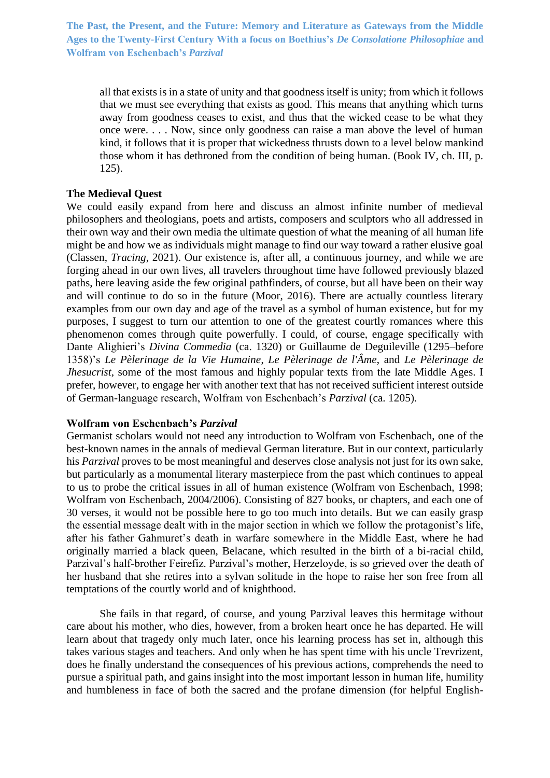all that exists is in a state of unity and that goodness itself is unity; from which it follows that we must see everything that exists as good. This means that anything which turns away from goodness ceases to exist, and thus that the wicked cease to be what they once were. . . . Now, since only goodness can raise a man above the level of human kind, it follows that it is proper that wickedness thrusts down to a level below mankind those whom it has dethroned from the condition of being human. (Book IV, ch. III, p. 125).

### **The Medieval Quest**

We could easily expand from here and discuss an almost infinite number of medieval philosophers and theologians, poets and artists, composers and sculptors who all addressed in their own way and their own media the ultimate question of what the meaning of all human life might be and how we as individuals might manage to find our way toward a rather elusive goal (Classen, *Tracing*, 2021). Our existence is, after all, a continuous journey, and while we are forging ahead in our own lives, all travelers throughout time have followed previously blazed paths, here leaving aside the few original pathfinders, of course, but all have been on their way and will continue to do so in the future (Moor, 2016). There are actually countless literary examples from our own day and age of the travel as a symbol of human existence, but for my purposes, I suggest to turn our attention to one of the greatest courtly romances where this phenomenon comes through quite powerfully. I could, of course, engage specifically with Dante Alighieri's *Divina Commedia* (ca. 1320) or Guillaume de Deguileville (1295–before 1358)'s *Le Pèlerinage de la Vie Humaine*, *Le Pèlerinage de l'Âme*, and *Le Pèlerinage de Jhesucrist*, some of the most famous and highly popular texts from the late Middle Ages. I prefer, however, to engage her with another text that has not received sufficient interest outside of German-language research, Wolfram von Eschenbach's *Parzival* (ca. 1205).

#### **Wolfram von Eschenbach's** *Parzival*

Germanist scholars would not need any introduction to Wolfram von Eschenbach, one of the best-known names in the annals of medieval German literature. But in our context, particularly his *Parzival* proves to be most meaningful and deserves close analysis not just for its own sake, but particularly as a monumental literary masterpiece from the past which continues to appeal to us to probe the critical issues in all of human existence (Wolfram von Eschenbach, 1998; Wolfram von Eschenbach, 2004/2006). Consisting of 827 books, or chapters, and each one of 30 verses, it would not be possible here to go too much into details. But we can easily grasp the essential message dealt with in the major section in which we follow the protagonist's life, after his father Gahmuret's death in warfare somewhere in the Middle East, where he had originally married a black queen, Belacane, which resulted in the birth of a bi-racial child, Parzival's half-brother Feirefiz. Parzival's mother, Herzeloyde, is so grieved over the death of her husband that she retires into a sylvan solitude in the hope to raise her son free from all temptations of the courtly world and of knighthood.

She fails in that regard, of course, and young Parzival leaves this hermitage without care about his mother, who dies, however, from a broken heart once he has departed. He will learn about that tragedy only much later, once his learning process has set in, although this takes various stages and teachers. And only when he has spent time with his uncle Trevrizent, does he finally understand the consequences of his previous actions, comprehends the need to pursue a spiritual path, and gains insight into the most important lesson in human life, humility and humbleness in face of both the sacred and the profane dimension (for helpful English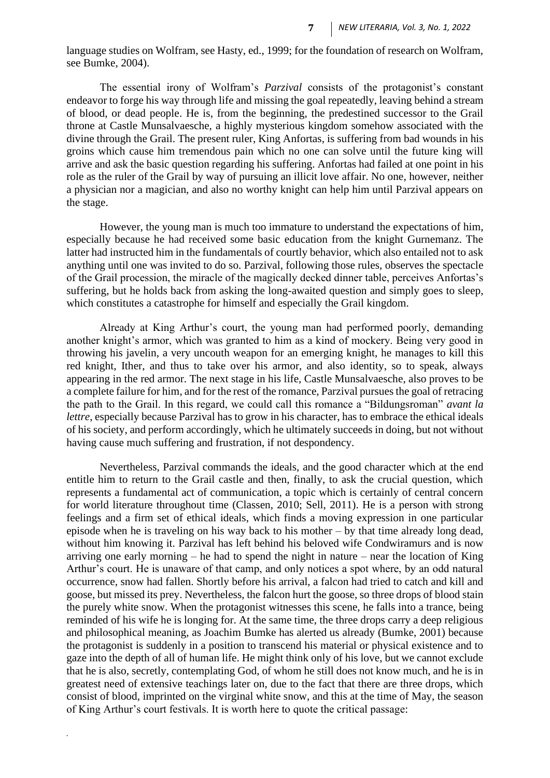language studies on Wolfram, see Hasty, ed., 1999; for the foundation of research on Wolfram, see Bumke, 2004).

The essential irony of Wolfram's *Parzival* consists of the protagonist's constant endeavor to forge his way through life and missing the goal repeatedly, leaving behind a stream of blood, or dead people. He is, from the beginning, the predestined successor to the Grail throne at Castle Munsalvaesche, a highly mysterious kingdom somehow associated with the divine through the Grail. The present ruler, King Anfortas, is suffering from bad wounds in his groins which cause him tremendous pain which no one can solve until the future king will arrive and ask the basic question regarding his suffering. Anfortas had failed at one point in his role as the ruler of the Grail by way of pursuing an illicit love affair. No one, however, neither a physician nor a magician, and also no worthy knight can help him until Parzival appears on the stage.

However, the young man is much too immature to understand the expectations of him, especially because he had received some basic education from the knight Gurnemanz. The latter had instructed him in the fundamentals of courtly behavior, which also entailed not to ask anything until one was invited to do so. Parzival, following those rules, observes the spectacle of the Grail procession, the miracle of the magically decked dinner table, perceives Anfortas's suffering, but he holds back from asking the long-awaited question and simply goes to sleep, which constitutes a catastrophe for himself and especially the Grail kingdom.

Already at King Arthur's court, the young man had performed poorly, demanding another knight's armor, which was granted to him as a kind of mockery. Being very good in throwing his javelin, a very uncouth weapon for an emerging knight, he manages to kill this red knight, Ither, and thus to take over his armor, and also identity, so to speak, always appearing in the red armor. The next stage in his life, Castle Munsalvaesche, also proves to be a complete failure for him, and for the rest of the romance, Parzival pursues the goal of retracing the path to the Grail. In this regard, we could call this romance a "Bildungsroman" *avant la lettre*, especially because Parzival has to grow in his character, has to embrace the ethical ideals of his society, and perform accordingly, which he ultimately succeeds in doing, but not without having cause much suffering and frustration, if not despondency.

Nevertheless, Parzival commands the ideals, and the good character which at the end entitle him to return to the Grail castle and then, finally, to ask the crucial question, which represents a fundamental act of communication, a topic which is certainly of central concern for world literature throughout time (Classen, 2010; Sell, 2011). He is a person with strong feelings and a firm set of ethical ideals, which finds a moving expression in one particular episode when he is traveling on his way back to his mother – by that time already long dead, without him knowing it. Parzival has left behind his beloved wife Condwiramurs and is now arriving one early morning – he had to spend the night in nature – near the location of King Arthur's court. He is unaware of that camp, and only notices a spot where, by an odd natural occurrence, snow had fallen. Shortly before his arrival, a falcon had tried to catch and kill and goose, but missed its prey. Nevertheless, the falcon hurt the goose, so three drops of blood stain the purely white snow. When the protagonist witnesses this scene, he falls into a trance, being reminded of his wife he is longing for. At the same time, the three drops carry a deep religious and philosophical meaning, as Joachim Bumke has alerted us already (Bumke, 2001) because the protagonist is suddenly in a position to transcend his material or physical existence and to gaze into the depth of all of human life. He might think only of his love, but we cannot exclude that he is also, secretly, contemplating God, of whom he still does not know much, and he is in greatest need of extensive teachings later on, due to the fact that there are three drops, which consist of blood, imprinted on the virginal white snow, and this at the time of May, the season of King Arthur's court festivals. It is worth here to quote the critical passage: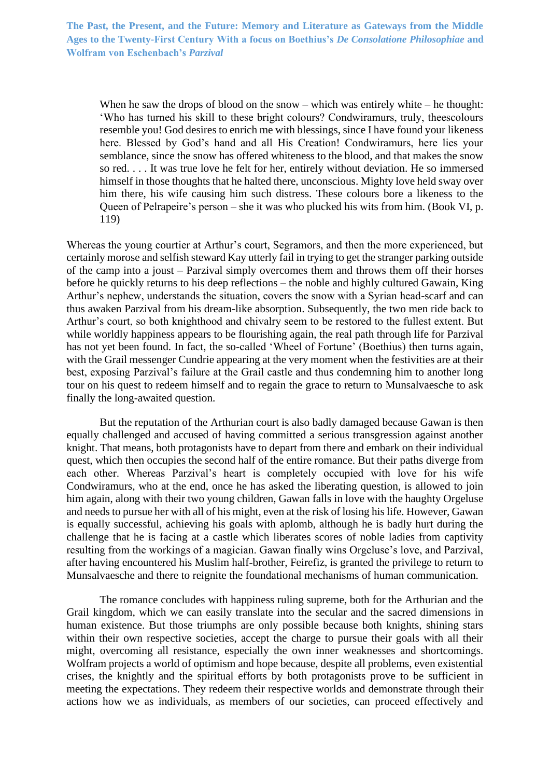When he saw the drops of blood on the snow – which was entirely white – he thought: 'Who has turned his skill to these bright colours? Condwiramurs, truly, theescolours resemble you! God desires to enrich me with blessings, since I have found your likeness here. Blessed by God's hand and all His Creation! Condwiramurs, here lies your semblance, since the snow has offered whiteness to the blood, and that makes the snow so red. . . . It was true love he felt for her, entirely without deviation. He so immersed himself in those thoughts that he halted there, unconscious. Mighty love held sway over him there, his wife causing him such distress. These colours bore a likeness to the Queen of Pelrapeire's person – she it was who plucked his wits from him. (Book VI, p. 119)

Whereas the young courtier at Arthur's court, Segramors, and then the more experienced, but certainly morose and selfish steward Kay utterly fail in trying to get the stranger parking outside of the camp into a joust – Parzival simply overcomes them and throws them off their horses before he quickly returns to his deep reflections – the noble and highly cultured Gawain, King Arthur's nephew, understands the situation, covers the snow with a Syrian head-scarf and can thus awaken Parzival from his dream-like absorption. Subsequently, the two men ride back to Arthur's court, so both knighthood and chivalry seem to be restored to the fullest extent. But while worldly happiness appears to be flourishing again, the real path through life for Parzival has not yet been found. In fact, the so-called 'Wheel of Fortune' (Boethius) then turns again, with the Grail messenger Cundrie appearing at the very moment when the festivities are at their best, exposing Parzival's failure at the Grail castle and thus condemning him to another long tour on his quest to redeem himself and to regain the grace to return to Munsalvaesche to ask finally the long-awaited question.

But the reputation of the Arthurian court is also badly damaged because Gawan is then equally challenged and accused of having committed a serious transgression against another knight. That means, both protagonists have to depart from there and embark on their individual quest, which then occupies the second half of the entire romance. But their paths diverge from each other. Whereas Parzival's heart is completely occupied with love for his wife Condwiramurs, who at the end, once he has asked the liberating question, is allowed to join him again, along with their two young children, Gawan falls in love with the haughty Orgeluse and needs to pursue her with all of his might, even at the risk of losing his life. However, Gawan is equally successful, achieving his goals with aplomb, although he is badly hurt during the challenge that he is facing at a castle which liberates scores of noble ladies from captivity resulting from the workings of a magician. Gawan finally wins Orgeluse's love, and Parzival, after having encountered his Muslim half-brother, Feirefiz, is granted the privilege to return to Munsalvaesche and there to reignite the foundational mechanisms of human communication.

The romance concludes with happiness ruling supreme, both for the Arthurian and the Grail kingdom, which we can easily translate into the secular and the sacred dimensions in human existence. But those triumphs are only possible because both knights, shining stars within their own respective societies, accept the charge to pursue their goals with all their might, overcoming all resistance, especially the own inner weaknesses and shortcomings. Wolfram projects a world of optimism and hope because, despite all problems, even existential crises, the knightly and the spiritual efforts by both protagonists prove to be sufficient in meeting the expectations. They redeem their respective worlds and demonstrate through their actions how we as individuals, as members of our societies, can proceed effectively and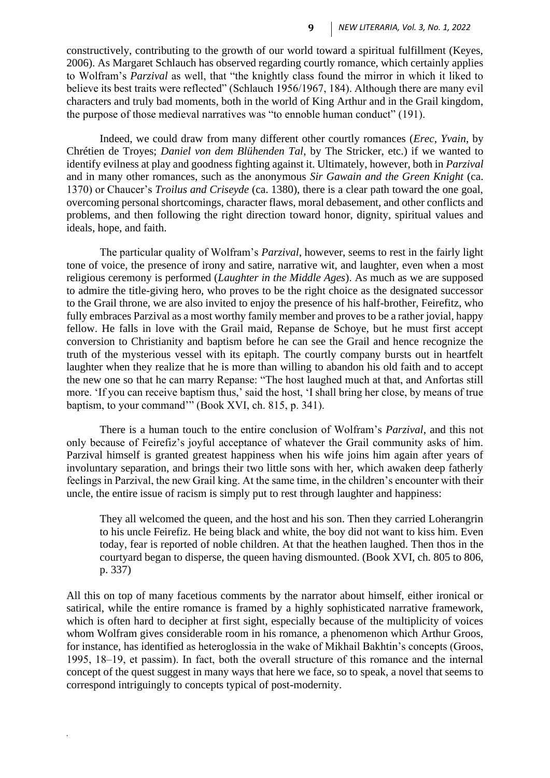constructively, contributing to the growth of our world toward a spiritual fulfillment (Keyes, 2006). As Margaret Schlauch has observed regarding courtly romance, which certainly applies to Wolfram's *Parzival* as well, that "the knightly class found the mirror in which it liked to believe its best traits were reflected" (Schlauch 1956/1967, 184). Although there are many evil characters and truly bad moments, both in the world of King Arthur and in the Grail kingdom, the purpose of those medieval narratives was "to ennoble human conduct" (191).

Indeed, we could draw from many different other courtly romances (*Erec*, *Yvain*, by Chrétien de Troyes; *Daniel von dem Blühenden Tal*, by The Stricker, etc.) if we wanted to identify evilness at play and goodness fighting against it. Ultimately, however, both in *Parzival* and in many other romances, such as the anonymous *Sir Gawain and the Green Knight* (ca. 1370) or Chaucer's *Troilus and Criseyde* (ca. 1380), there is a clear path toward the one goal, overcoming personal shortcomings, character flaws, moral debasement, and other conflicts and problems, and then following the right direction toward honor, dignity, spiritual values and ideals, hope, and faith.

The particular quality of Wolfram's *Parzival*, however, seems to rest in the fairly light tone of voice, the presence of irony and satire, narrative wit, and laughter, even when a most religious ceremony is performed (*Laughter in the Middle Ages*). As much as we are supposed to admire the title-giving hero, who proves to be the right choice as the designated successor to the Grail throne, we are also invited to enjoy the presence of his half-brother, Feirefitz, who fully embraces Parzival as a most worthy family member and proves to be a rather jovial, happy fellow. He falls in love with the Grail maid, Repanse de Schoye, but he must first accept conversion to Christianity and baptism before he can see the Grail and hence recognize the truth of the mysterious vessel with its epitaph. The courtly company bursts out in heartfelt laughter when they realize that he is more than willing to abandon his old faith and to accept the new one so that he can marry Repanse: "The host laughed much at that, and Anfortas still more. 'If you can receive baptism thus,' said the host, 'I shall bring her close, by means of true baptism, to your command'" (Book XVI, ch. 815, p. 341).

There is a human touch to the entire conclusion of Wolfram's *Parzival*, and this not only because of Feirefiz's joyful acceptance of whatever the Grail community asks of him. Parzival himself is granted greatest happiness when his wife joins him again after years of involuntary separation, and brings their two little sons with her, which awaken deep fatherly feelings in Parzival, the new Grail king. At the same time, in the children's encounter with their uncle, the entire issue of racism is simply put to rest through laughter and happiness:

They all welcomed the queen, and the host and his son. Then they carried Loherangrin to his uncle Feirefiz. He being black and white, the boy did not want to kiss him. Even today, fear is reported of noble children. At that the heathen laughed. Then thos in the courtyard began to disperse, the queen having dismounted. (Book XVI, ch. 805 to 806, p. 337)

All this on top of many facetious comments by the narrator about himself, either ironical or satirical, while the entire romance is framed by a highly sophisticated narrative framework, which is often hard to decipher at first sight, especially because of the multiplicity of voices whom Wolfram gives considerable room in his romance, a phenomenon which Arthur Groos, for instance, has identified as heteroglossia in the wake of Mikhail Bakhtin's concepts (Groos, 1995, 18–19, et passim). In fact, both the overall structure of this romance and the internal concept of the quest suggest in many ways that here we face, so to speak, a novel that seems to correspond intriguingly to concepts typical of post-modernity.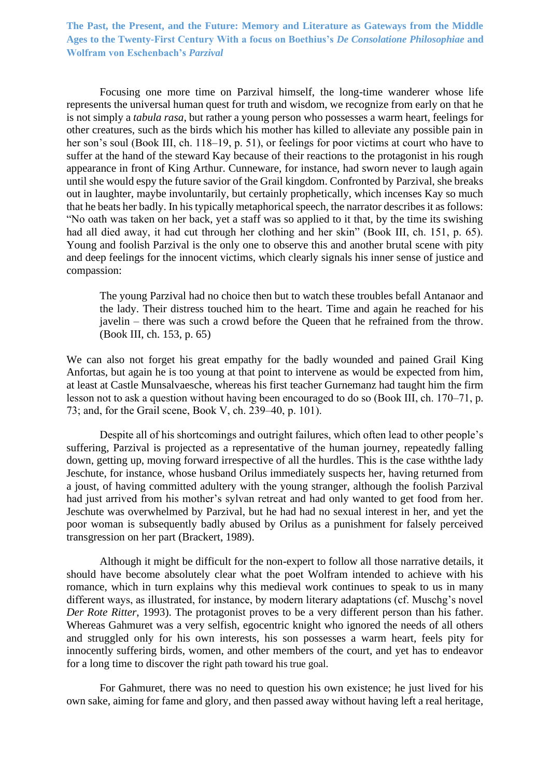Focusing one more time on Parzival himself, the long-time wanderer whose life represents the universal human quest for truth and wisdom, we recognize from early on that he is not simply a *tabula rasa*, but rather a young person who possesses a warm heart, feelings for other creatures, such as the birds which his mother has killed to alleviate any possible pain in her son's soul (Book III, ch. 118–19, p. 51), or feelings for poor victims at court who have to suffer at the hand of the steward Kay because of their reactions to the protagonist in his rough appearance in front of King Arthur. Cunneware, for instance, had sworn never to laugh again until she would espy the future savior of the Grail kingdom. Confronted by Parzival, she breaks out in laughter, maybe involuntarily, but certainly prophetically, which incenses Kay so much that he beats her badly. In his typically metaphorical speech, the narrator describes it as follows: "No oath was taken on her back, yet a staff was so applied to it that, by the time its swishing had all died away, it had cut through her clothing and her skin" (Book III, ch. 151, p. 65). Young and foolish Parzival is the only one to observe this and another brutal scene with pity and deep feelings for the innocent victims, which clearly signals his inner sense of justice and compassion:

The young Parzival had no choice then but to watch these troubles befall Antanaor and the lady. Their distress touched him to the heart. Time and again he reached for his javelin – there was such a crowd before the Queen that he refrained from the throw. (Book III, ch. 153, p. 65)

We can also not forget his great empathy for the badly wounded and pained Grail King Anfortas, but again he is too young at that point to intervene as would be expected from him, at least at Castle Munsalvaesche, whereas his first teacher Gurnemanz had taught him the firm lesson not to ask a question without having been encouraged to do so (Book III, ch. 170–71, p. 73; and, for the Grail scene, Book V, ch. 239–40, p. 101).

Despite all of his shortcomings and outright failures, which often lead to other people's suffering, Parzival is projected as a representative of the human journey, repeatedly falling down, getting up, moving forward irrespective of all the hurdles. This is the case withthe lady Jeschute, for instance, whose husband Orilus immediately suspects her, having returned from a joust, of having committed adultery with the young stranger, although the foolish Parzival had just arrived from his mother's sylvan retreat and had only wanted to get food from her. Jeschute was overwhelmed by Parzival, but he had had no sexual interest in her, and yet the poor woman is subsequently badly abused by Orilus as a punishment for falsely perceived transgression on her part (Brackert, 1989).

Although it might be difficult for the non-expert to follow all those narrative details, it should have become absolutely clear what the poet Wolfram intended to achieve with his romance, which in turn explains why this medieval work continues to speak to us in many different ways, as illustrated, for instance, by modern literary adaptations (cf. Muschg's novel *Der Rote Ritter*, 1993). The protagonist proves to be a very different person than his father. Whereas Gahmuret was a very selfish, egocentric knight who ignored the needs of all others and struggled only for his own interests, his son possesses a warm heart, feels pity for innocently suffering birds, women, and other members of the court, and yet has to endeavor for a long time to discover the right path toward his true goal.

For Gahmuret, there was no need to question his own existence; he just lived for his own sake, aiming for fame and glory, and then passed away without having left a real heritage,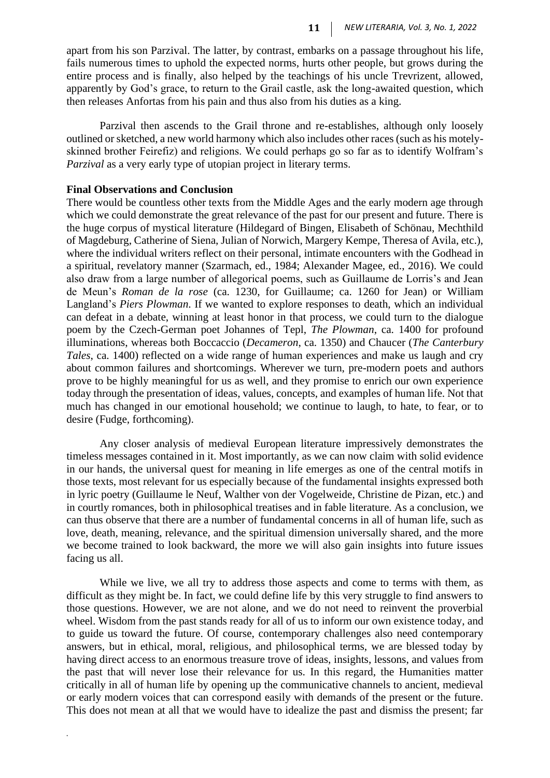apart from his son Parzival. The latter, by contrast, embarks on a passage throughout his life, fails numerous times to uphold the expected norms, hurts other people, but grows during the entire process and is finally, also helped by the teachings of his uncle Trevrizent, allowed, apparently by God's grace, to return to the Grail castle, ask the long-awaited question, which then releases Anfortas from his pain and thus also from his duties as a king.

Parzival then ascends to the Grail throne and re-establishes, although only loosely outlined or sketched, a new world harmony which also includes other races (such as his motelyskinned brother Feirefiz) and religions. We could perhaps go so far as to identify Wolfram's *Parzival* as a very early type of utopian project in literary terms.

#### **Final Observations and Conclusion**

*.*

There would be countless other texts from the Middle Ages and the early modern age through which we could demonstrate the great relevance of the past for our present and future. There is the huge corpus of mystical literature (Hildegard of Bingen, Elisabeth of Schönau, Mechthild of Magdeburg, Catherine of Siena, Julian of Norwich, Margery Kempe, Theresa of Avila, etc.), where the individual writers reflect on their personal, intimate encounters with the Godhead in a spiritual, revelatory manner (Szarmach, ed., 1984; Alexander Magee, ed., 2016). We could also draw from a large number of allegorical poems, such as Guillaume de Lorris's and Jean de Meun's *Roman de la rose* (ca. 1230, for Guillaume; ca. 1260 for Jean) or William Langland's *Piers Plowman*. If we wanted to explore responses to death, which an individual can defeat in a debate, winning at least honor in that process, we could turn to the dialogue poem by the Czech-German poet Johannes of Tepl, *The Plowman*, ca. 1400 for profound illuminations, whereas both Boccaccio (*Decameron*, ca. 1350) and Chaucer (*The Canterbury Tales*, ca. 1400) reflected on a wide range of human experiences and make us laugh and cry about common failures and shortcomings. Wherever we turn, pre-modern poets and authors prove to be highly meaningful for us as well, and they promise to enrich our own experience today through the presentation of ideas, values, concepts, and examples of human life. Not that much has changed in our emotional household; we continue to laugh, to hate, to fear, or to desire (Fudge, forthcoming).

Any closer analysis of medieval European literature impressively demonstrates the timeless messages contained in it. Most importantly, as we can now claim with solid evidence in our hands, the universal quest for meaning in life emerges as one of the central motifs in those texts, most relevant for us especially because of the fundamental insights expressed both in lyric poetry (Guillaume le Neuf, Walther von der Vogelweide, Christine de Pizan, etc.) and in courtly romances, both in philosophical treatises and in fable literature. As a conclusion, we can thus observe that there are a number of fundamental concerns in all of human life, such as love, death, meaning, relevance, and the spiritual dimension universally shared, and the more we become trained to look backward, the more we will also gain insights into future issues facing us all.

While we live, we all try to address those aspects and come to terms with them, as difficult as they might be. In fact, we could define life by this very struggle to find answers to those questions. However, we are not alone, and we do not need to reinvent the proverbial wheel. Wisdom from the past stands ready for all of us to inform our own existence today, and to guide us toward the future. Of course, contemporary challenges also need contemporary answers, but in ethical, moral, religious, and philosophical terms, we are blessed today by having direct access to an enormous treasure trove of ideas, insights, lessons, and values from the past that will never lose their relevance for us. In this regard, the Humanities matter critically in all of human life by opening up the communicative channels to ancient, medieval or early modern voices that can correspond easily with demands of the present or the future. This does not mean at all that we would have to idealize the past and dismiss the present; far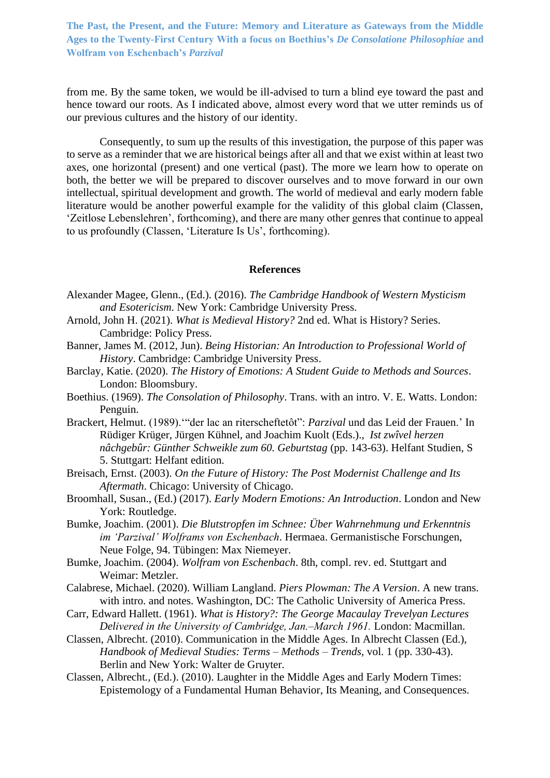from me. By the same token, we would be ill-advised to turn a blind eye toward the past and hence toward our roots. As I indicated above, almost every word that we utter reminds us of our previous cultures and the history of our identity.

Consequently, to sum up the results of this investigation, the purpose of this paper was to serve as a reminder that we are historical beings after all and that we exist within at least two axes, one horizontal (present) and one vertical (past). The more we learn how to operate on both, the better we will be prepared to discover ourselves and to move forward in our own intellectual, spiritual development and growth. The world of medieval and early modern fable literature would be another powerful example for the validity of this global claim (Classen, 'Zeitlose Lebenslehren', forthcoming), and there are many other genres that continue to appeal to us profoundly (Classen, 'Literature Is Us', forthcoming).

#### **References**

- Alexander Magee, Glenn., (Ed.). (2016). *The Cambridge Handbook of Western Mysticism and Esotericism*. New York: Cambridge University Press.
- Arnold, John H. (2021). *What is Medieval History?* 2nd ed. What is History? Series. Cambridge: Policy Press.
- Banner, James M. (2012, Jun). *Being Historian: An Introduction to Professional World of History*. Cambridge: Cambridge University Press.
- Barclay, Katie. (2020). *The History of Emotions: A Student Guide to Methods and Sources*. London: Bloomsbury.
- Boethius. (1969). *The Consolation of Philosophy*. Trans. with an intro. V. E. Watts. London: Penguin.
- Brackert, Helmut. (1989).'"der lac an riterscheftetôt": *Parzival* und das Leid der Frauen.' In Rüdiger Krüger, Jürgen Kühnel, and Joachim Kuolt (Eds.)., *Ist zwîvel herzen nâchgebûr: Günther Schweikle zum 60. Geburtstag* (pp. 143-63). Helfant Studien, S 5. Stuttgart: Helfant edition.
- Breisach, Ernst. (2003). *On the Future of History: The Post Modernist Challenge and Its Aftermath*. Chicago: University of Chicago.
- Broomhall, Susan., (Ed.) (2017). *Early Modern Emotions: An Introduction*. London and New York: Routledge.
- Bumke, Joachim. (2001). *Die Blutstropfen im Schnee: Über Wahrnehmung und Erkenntnis im 'Parzival' Wolframs von Eschenbach*. Hermaea. Germanistische Forschungen, Neue Folge, 94. Tübingen: Max Niemeyer.
- Bumke, Joachim. (2004). *Wolfram von Eschenbach*. 8th, compl. rev. ed. Stuttgart and Weimar: Metzler.
- Calabrese, Michael. (2020). William Langland. *Piers Plowman: The A Version*. A new trans. with intro. and notes. Washington, DC: The Catholic University of America Press.
- Carr, Edward Hallett. (1961). *What is History?: The George Macaulay Trevelyan Lectures Delivered in the University of Cambridge, Jan.‒March 1961.* London: Macmillan.
- Classen, Albrecht. (2010). Communication in the Middle Ages. In Albrecht Classen (Ed.), *Handbook of Medieval Studies: Terms – Methods – Trends*, vol. 1 (pp. 330-43). Berlin and New York: Walter de Gruyter.
- Classen, Albrecht*.,* (Ed.). (2010). Laughter in the Middle Ages and Early Modern Times: Epistemology of a Fundamental Human Behavior, Its Meaning, and Consequences.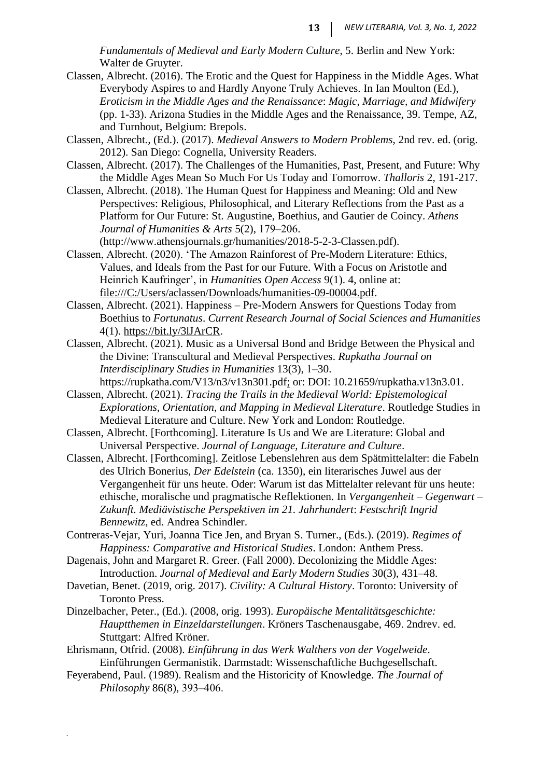*Fundamentals of Medieval and Early Modern Culture*, 5. Berlin and New York: Walter de Gruyter.

- Classen, Albrecht. (2016). The Erotic and the Quest for Happiness in the Middle Ages. What Everybody Aspires to and Hardly Anyone Truly Achieves. In Ian Moulton (Ed.), *Eroticism in the Middle Ages and the Renaissance*: *Magic, Marriage, and Midwifery*  (pp. 1-33). Arizona Studies in the Middle Ages and the Renaissance, 39. Tempe, AZ, and Turnhout, Belgium: Brepols.
- Classen, Albrecht*.,* (Ed.). (2017). *Medieval Answers to Modern Problems*, 2nd rev. ed. (orig. 2012). San Diego: Cognella, University Readers.
- Classen, Albrecht. (2017). The Challenges of the Humanities, Past, Present, and Future: Why the Middle Ages Mean So Much For Us Today and Tomorrow. *Thalloris* 2, 191-217.
- Classen, Albrecht. (2018). The Human Quest for Happiness and Meaning: Old and New Perspectives: Religious, Philosophical, and Literary Reflections from the Past as a Platform for Our Future: St. Augustine, Boethius, and Gautier de Coincy. *Athens*  Journal of Humanities & Arts 5(2), 179-206.

[\(http://www.athensjournals.gr/humanities/2018-5-2-3-Classen.pdf\).](file:///E:/Webinar%20Proceedings/Formatted/For%20Upload/(http:/www.athensjournals.gr/humanities/2018-5-2-3-Classen.pdf))

- Classen, Albrecht. (2020). 'The Amazon Rainforest of Pre-Modern Literature: Ethics, Values, and Ideals from the Past for our Future. With a Focus on Aristotle and Heinrich Kaufringer', in *Humanities Open Access* 9(1). 4, online at: [file:///C:/Users/aclassen/Downloads/humanities-09-00004.pdf.](file:///C:/Users/aclassen/Downloads/humanities-09-00004.pdf)
- Classen, Albrecht. (2021). Happiness ‒ Pre-Modern Answers for Questions Today from Boethius to *Fortunatus*. *Current Research Journal of Social Sciences and Humanities* 4(1). [https://bit.ly/3lJArCR.](https://bit.ly/3lJArCR)
- Classen, Albrecht. (2021). Music as a Universal Bond and Bridge Between the Physical and the Divine: Transcultural and Medieval Perspectives. *Rupkatha Journal on Interdisciplinary Studies in Humanities* 13(3), 1‒30.
	- https://rupkatha.com/V13/n3/v13n301.pdf; or: DOI: 10.21659/rupkatha.v13n3.01.
- Classen, Albrecht. (2021). *Tracing the Trails in the Medieval World: Epistemological Explorations, Orientation, and Mapping in Medieval Literature*. Routledge Studies in Medieval Literature and Culture. New York and London: Routledge.
- Classen, Albrecht. [Forthcoming]. Literature Is Us and We are Literature: Global and Universal Perspective. *Journal of Language, Literature and Culture*.
- Classen, Albrecht. [Forthcoming]. Zeitlose Lebenslehren aus dem Spätmittelalter: die Fabeln des Ulrich Bonerius, *Der Edelstein* (ca. 1350), ein literarisches Juwel aus der Vergangenheit für uns heute. Oder: Warum ist das Mittelalter relevant für uns heute: ethische, moralische und pragmatische Reflektionen. In *Vergangenheit – Gegenwart – Zukunft. Mediävistische Perspektiven im 21. Jahrhundert*: *Festschrift Ingrid Bennewitz*, ed. Andrea Schindler.
- Contreras-Vejar, Yuri, Joanna Tice Jen, and Bryan S. Turner., (Eds.). (2019). *Regimes of Happiness: Comparative and Historical Studies*. London: Anthem Press.
- Dagenais, John and Margaret R. Greer. (Fall 2000). Decolonizing the Middle Ages: Introduction. *Journal of Medieval and Early Modern Studies* 30(3), 431–48.
- Davetian, Benet. (2019, orig. 2017). *Civility: A Cultural History*. Toronto: University of Toronto Press.
- Dinzelbacher, Peter., (Ed.). (2008, orig. 1993). *Europäische Mentalitätsgeschichte: Hauptthemen in Einzeldarstellungen*. Kröners Taschenausgabe, 469. 2ndrev. ed. Stuttgart: Alfred Kröner.
- Ehrismann, Otfrid. (2008). *Einführung in das Werk Walthers von der Vogelweide*. Einführungen Germanistik. Darmstadt: Wissenschaftliche Buchgesellschaft.
- Feyerabend, Paul. (1989). Realism and the Historicity of Knowledge. *The Journal of Philosophy* 86(8), 393‒406.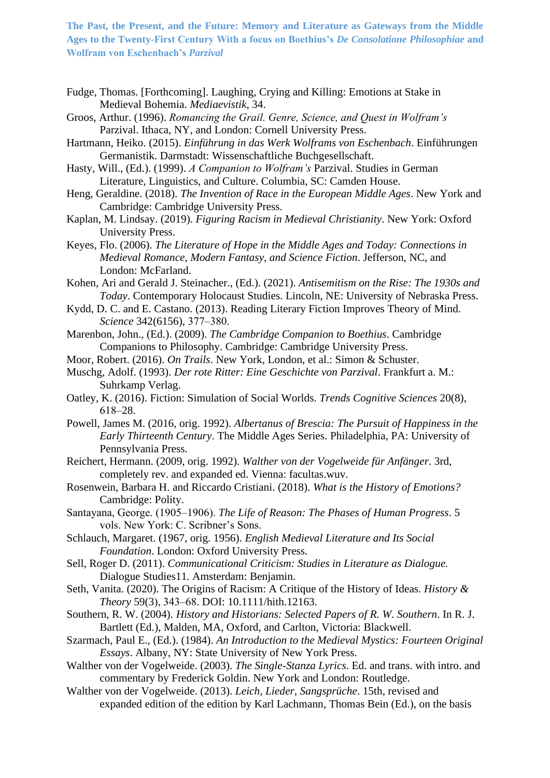- Fudge, Thomas. [Forthcoming]. Laughing, Crying and Killing: Emotions at Stake in Medieval Bohemia. *Mediaevistik,* 34.
- Groos, Arthur. (1996). *Romancing the Grail. Genre, Science, and Quest in Wolfram's*  Parzival. Ithaca, NY, and London: Cornell University Press.
- Hartmann, Heiko. (2015). *Einführung in das Werk Wolframs von Eschenbach*. Einführungen Germanistik. Darmstadt: Wissenschaftliche Buchgesellschaft.
- Hasty, Will., (Ed.). (1999). *A Companion to Wolfram's* Parzival. Studies in German Literature, Linguistics, and Culture. Columbia, SC: Camden House.
- Heng, Geraldine. (2018). *The Invention of Race in the European Middle Ages*. New York and Cambridge: Cambridge University Press.
- Kaplan, M. Lindsay. (2019). *Figuring Racism in Medieval Christianity*. New York: Oxford University Press.
- Keyes, Flo. (2006). *The Literature of Hope in the Middle Ages and Today: Connections in Medieval Romance, Modern Fantasy, and Science Fiction*. Jefferson, NC, and London: McFarland.
- Kohen, Ari and Gerald J. Steinacher., (Ed.). (2021). *Antisemitism on the Rise: The 1930s and Today*. Contemporary Holocaust Studies. Lincoln, NE: University of Nebraska Press.
- Kydd, D. C. and E. Castano. (2013). Reading Literary Fiction Improves Theory of Mind. *Science* 342(6156), 377‒380.
- Marenbon, John., (Ed.). (2009). *The Cambridge Companion to Boethius*. Cambridge Companions to Philosophy. Cambridge: Cambridge University Press.
- Moor, Robert. (2016). *On Trails*. New York, London, et al.: Simon & Schuster.
- Muschg, Adolf. (1993). *Der rote Ritter: Eine Geschichte von Parzival*. Frankfurt a. M.: Suhrkamp Verlag.
- Oatley, K. (2016). Fiction: Simulation of Social Worlds. *Trends Cognitive Sciences* 20(8), 618‒28.
- Powell, James M. (2016, orig. 1992). *Albertanus of Brescia: The Pursuit of Happiness in the Early Thirteenth Century*. The Middle Ages Series. Philadelphia, PA: University of Pennsylvania Press.
- Reichert, Hermann. (2009, orig. 1992). *Walther von der Vogelweide für Anfänger*. 3rd, completely rev. and expanded ed. Vienna: facultas.wuv.
- Rosenwein, Barbara H. and Riccardo Cristiani. (2018). *What is the History of Emotions?* Cambridge: Polity.
- Santayana, George. (1905–1906). *The Life of Reason: The Phases of Human Progress*. 5 vols. New York: C. Scribner's Sons.
- Schlauch, Margaret. (1967, orig. 1956). *English Medieval Literature and Its Social Foundation*. London: Oxford University Press.
- Sell, Roger D. (2011). *Communicational Criticism: Studies in Literature as Dialogue.*  Dialogue Studies11. Amsterdam: Benjamin.
- Seth, Vanita. (2020). The Origins of Racism: A Critique of the History of Ideas. *History & Theory* 59(3), 343‒68. DOI: 10.1111/hith.12163.
- Southern, R. W. (2004). *History and Historians: Selected Papers of R. W. Southern*. In R. J. Bartlett (Ed.), Malden, MA, Oxford, and Carlton, Victoria: Blackwell.
- Szarmach, Paul E., (Ed.). (1984). *An Introduction to the Medieval Mystics: Fourteen Original Essays*. Albany, NY: State University of New York Press.
- Walther von der Vogelweide. (2003). *The Single-Stanza Lyrics*. Ed. and trans. with intro. and commentary by Frederick Goldin. New York and London: Routledge.
- Walther von der Vogelweide. (2013). *Leich, Lieder, Sangsprüche*. 15th, revised and expanded edition of the edition by Karl Lachmann, Thomas Bein (Ed.), on the basis